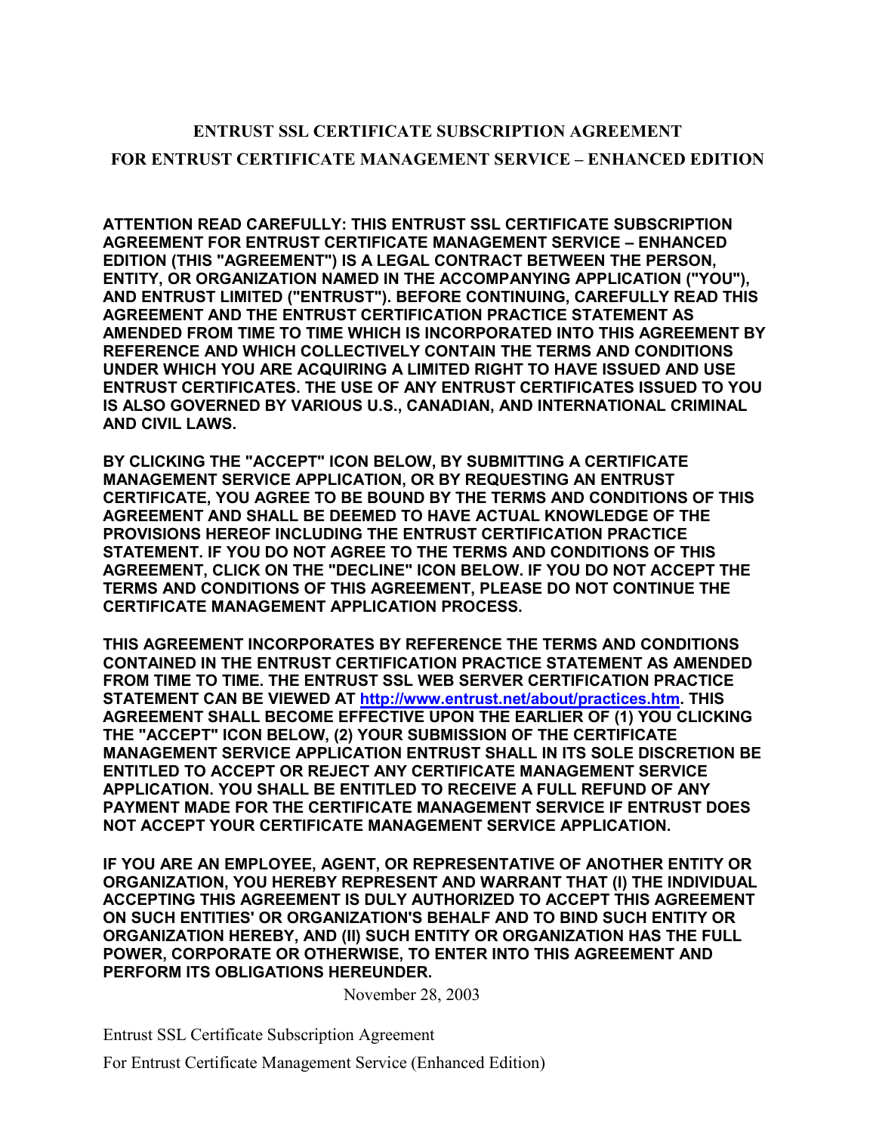## **ENTRUST SSL CERTIFICATE SUBSCRIPTION AGREEMENT FOR ENTRUST CERTIFICATE MANAGEMENT SERVICE – ENHANCED EDITION**

**ATTENTION READ CAREFULLY: THIS ENTRUST SSL CERTIFICATE SUBSCRIPTION AGREEMENT FOR ENTRUST CERTIFICATE MANAGEMENT SERVICE – ENHANCED EDITION (THIS "AGREEMENT") IS A LEGAL CONTRACT BETWEEN THE PERSON, ENTITY, OR ORGANIZATION NAMED IN THE ACCOMPANYING APPLICATION ("YOU"), AND ENTRUST LIMITED ("ENTRUST"). BEFORE CONTINUING, CAREFULLY READ THIS AGREEMENT AND THE ENTRUST CERTIFICATION PRACTICE STATEMENT AS AMENDED FROM TIME TO TIME WHICH IS INCORPORATED INTO THIS AGREEMENT BY REFERENCE AND WHICH COLLECTIVELY CONTAIN THE TERMS AND CONDITIONS UNDER WHICH YOU ARE ACQUIRING A LIMITED RIGHT TO HAVE ISSUED AND USE ENTRUST CERTIFICATES. THE USE OF ANY ENTRUST CERTIFICATES ISSUED TO YOU IS ALSO GOVERNED BY VARIOUS U.S., CANADIAN, AND INTERNATIONAL CRIMINAL AND CIVIL LAWS.** 

**BY CLICKING THE "ACCEPT" ICON BELOW, BY SUBMITTING A CERTIFICATE MANAGEMENT SERVICE APPLICATION, OR BY REQUESTING AN ENTRUST CERTIFICATE, YOU AGREE TO BE BOUND BY THE TERMS AND CONDITIONS OF THIS AGREEMENT AND SHALL BE DEEMED TO HAVE ACTUAL KNOWLEDGE OF THE PROVISIONS HEREOF INCLUDING THE ENTRUST CERTIFICATION PRACTICE STATEMENT. IF YOU DO NOT AGREE TO THE TERMS AND CONDITIONS OF THIS AGREEMENT, CLICK ON THE "DECLINE" ICON BELOW. IF YOU DO NOT ACCEPT THE TERMS AND CONDITIONS OF THIS AGREEMENT, PLEASE DO NOT CONTINUE THE CERTIFICATE MANAGEMENT APPLICATION PROCESS.** 

**THIS AGREEMENT INCORPORATES BY REFERENCE THE TERMS AND CONDITIONS CONTAINED IN THE ENTRUST CERTIFICATION PRACTICE STATEMENT AS AMENDED FROM TIME TO TIME. THE ENTRUST SSL WEB SERVER CERTIFICATION PRACTICE STATEMENT CAN BE VIEWED AT [http://www.entrust.net/about/practices.htm.](http://www.entrust.net/about/practices.htm) THIS AGREEMENT SHALL BECOME EFFECTIVE UPON THE EARLIER OF (1) YOU CLICKING THE "ACCEPT" ICON BELOW, (2) YOUR SUBMISSION OF THE CERTIFICATE MANAGEMENT SERVICE APPLICATION ENTRUST SHALL IN ITS SOLE DISCRETION BE ENTITLED TO ACCEPT OR REJECT ANY CERTIFICATE MANAGEMENT SERVICE APPLICATION. YOU SHALL BE ENTITLED TO RECEIVE A FULL REFUND OF ANY PAYMENT MADE FOR THE CERTIFICATE MANAGEMENT SERVICE IF ENTRUST DOES NOT ACCEPT YOUR CERTIFICATE MANAGEMENT SERVICE APPLICATION.** 

**IF YOU ARE AN EMPLOYEE, AGENT, OR REPRESENTATIVE OF ANOTHER ENTITY OR ORGANIZATION, YOU HEREBY REPRESENT AND WARRANT THAT (I) THE INDIVIDUAL ACCEPTING THIS AGREEMENT IS DULY AUTHORIZED TO ACCEPT THIS AGREEMENT ON SUCH ENTITIES' OR ORGANIZATION'S BEHALF AND TO BIND SUCH ENTITY OR ORGANIZATION HEREBY, AND (II) SUCH ENTITY OR ORGANIZATION HAS THE FULL POWER, CORPORATE OR OTHERWISE, TO ENTER INTO THIS AGREEMENT AND PERFORM ITS OBLIGATIONS HEREUNDER.**

November 28, 2003

Entrust SSL Certificate Subscription Agreement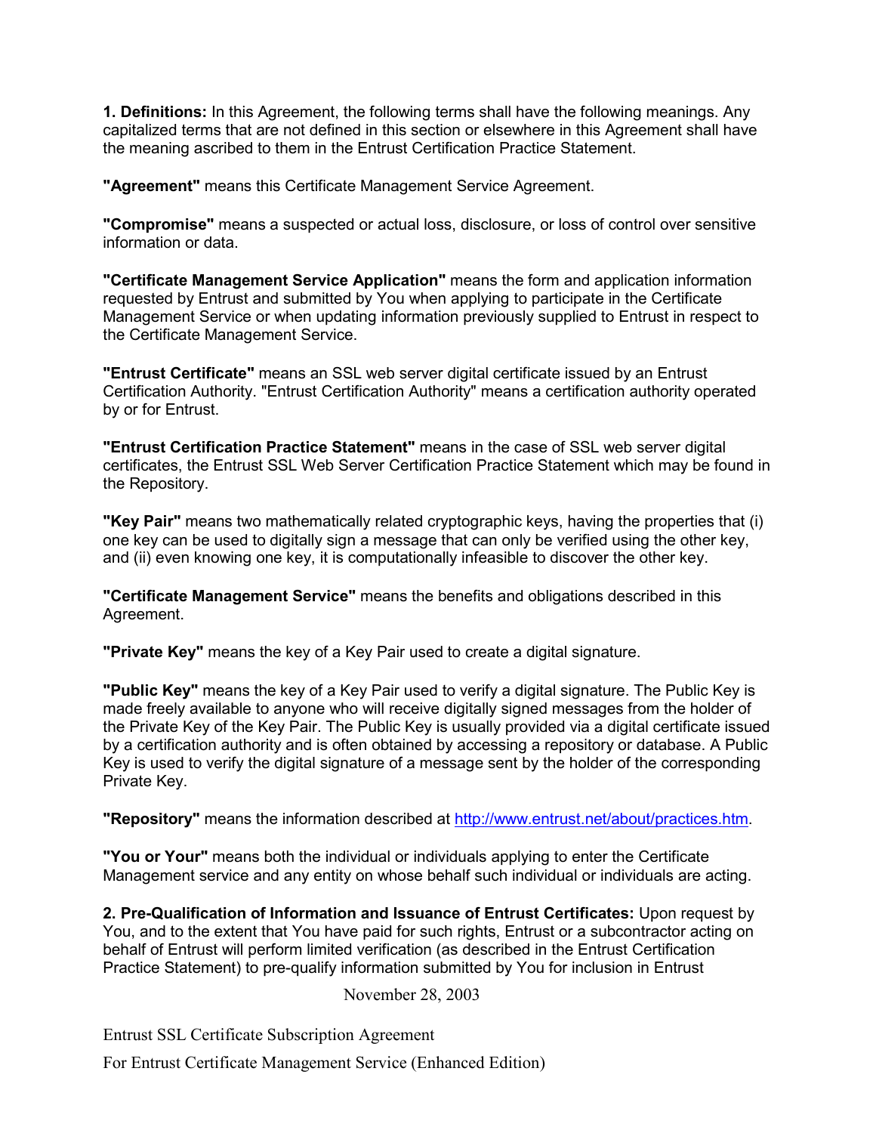**1. Definitions:** In this Agreement, the following terms shall have the following meanings. Any capitalized terms that are not defined in this section or elsewhere in this Agreement shall have the meaning ascribed to them in the Entrust Certification Practice Statement.

**"Agreement"** means this Certificate Management Service Agreement.

**"Compromise"** means a suspected or actual loss, disclosure, or loss of control over sensitive information or data.

**"Certificate Management Service Application"** means the form and application information requested by Entrust and submitted by You when applying to participate in the Certificate Management Service or when updating information previously supplied to Entrust in respect to the Certificate Management Service.

**"Entrust Certificate"** means an SSL web server digital certificate issued by an Entrust Certification Authority. "Entrust Certification Authority" means a certification authority operated by or for Entrust.

**"Entrust Certification Practice Statement"** means in the case of SSL web server digital certificates, the Entrust SSL Web Server Certification Practice Statement which may be found in the Repository.

**"Key Pair"** means two mathematically related cryptographic keys, having the properties that (i) one key can be used to digitally sign a message that can only be verified using the other key, and (ii) even knowing one key, it is computationally infeasible to discover the other key.

**"Certificate Management Service"** means the benefits and obligations described in this Agreement.

**"Private Key"** means the key of a Key Pair used to create a digital signature.

**"Public Key"** means the key of a Key Pair used to verify a digital signature. The Public Key is made freely available to anyone who will receive digitally signed messages from the holder of the Private Key of the Key Pair. The Public Key is usually provided via a digital certificate issued by a certification authority and is often obtained by accessing a repository or database. A Public Key is used to verify the digital signature of a message sent by the holder of the corresponding Private Key.

**"Repository"** means the information described at [http://www.entrust.net/about/practices.htm.](http://www.entrust.net/about/practices.htm)

**"You or Your"** means both the individual or individuals applying to enter the Certificate Management service and any entity on whose behalf such individual or individuals are acting.

**2. Pre-Qualification of Information and Issuance of Entrust Certificates:** Upon request by You, and to the extent that You have paid for such rights, Entrust or a subcontractor acting on behalf of Entrust will perform limited verification (as described in the Entrust Certification Practice Statement) to pre-qualify information submitted by You for inclusion in Entrust

November 28, 2003

Entrust SSL Certificate Subscription Agreement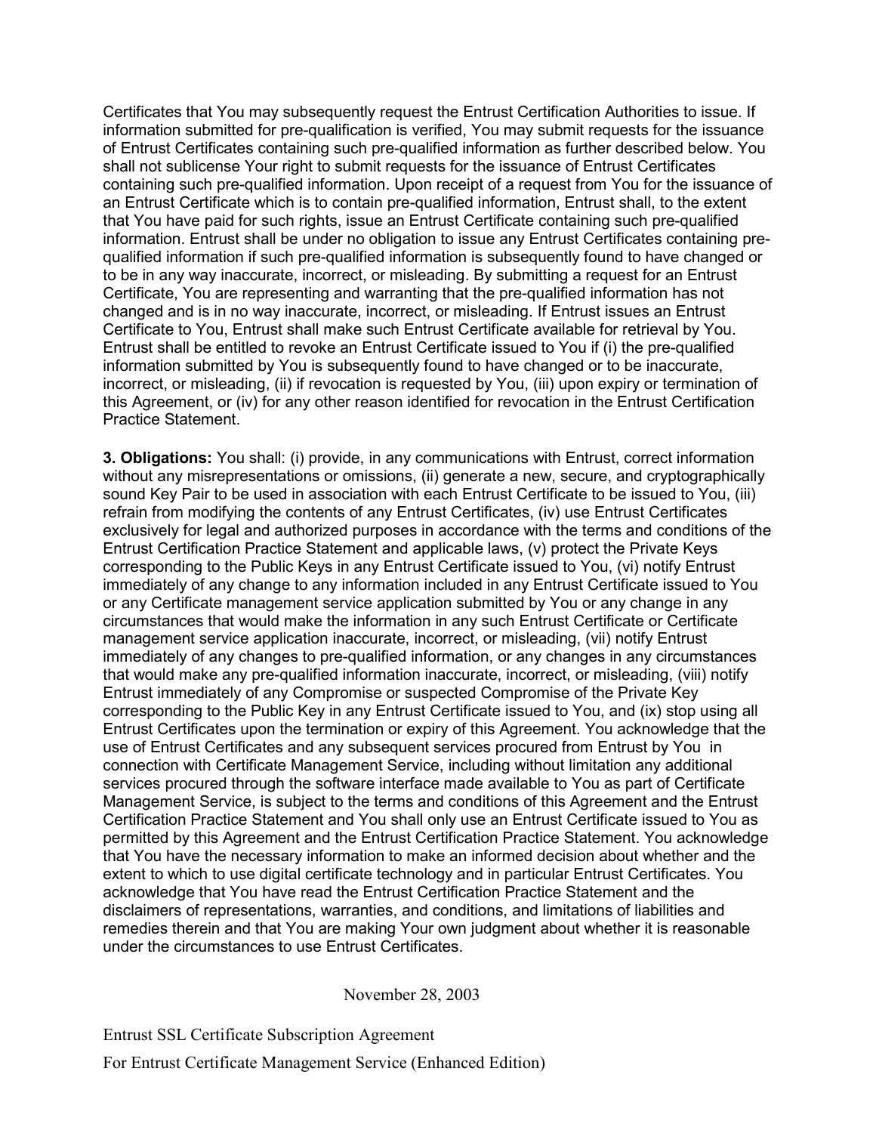Certificates that You may subsequently request the Entrust Certification Authorities to issue. If information submitted for pre-qualification is verified, You may submit requests for the issuance of Entrust Certificates containing such pre-qualified information as further described below. You shall not sublicense Your right to submit requests for the issuance of Entrust Certificates containing such pre-qualified information. Upon receipt of a request from You for the issuance of an Entrust Certificate which is to contain pre-qualified information, Entrust shall, to the extent that You have paid for such rights, issue an Entrust Certificate containing such pre-qualified information. Entrust shall be under no obligation to issue any Entrust Certificates containing prequalified information if such pre-qualified information is subsequently found to have changed or to be in any way inaccurate, incorrect, or misleading. By submitting a request for an Entrust Certificate, You are representing and warranting that the pre-qualified information has not changed and is in no way inaccurate, incorrect, or misleading. If Entrust issues an Entrust Certificate to You, Entrust shall make such Entrust Certificate available for retrieval by You. Entrust shall be entitled to revoke an Entrust Certificate issued to You if (i) the pre-qualified information submitted by You is subsequently found to have changed or to be inaccurate, incorrect, or misleading, (ii) if revocation is requested by You, (iii) upon expiry or termination of this Agreement, or (iv) for any other reason identified for revocation in the Entrust Certification Practice Statement.

**3. Obligations:** You shall: (i) provide, in any communications with Entrust, correct information without any misrepresentations or omissions, (ii) generate a new, secure, and cryptographically sound Key Pair to be used in association with each Entrust Certificate to be issued to You, (iii) refrain from modifying the contents of any Entrust Certificates, (iv) use Entrust Certificates exclusively for legal and authorized purposes in accordance with the terms and conditions of the Entrust Certification Practice Statement and applicable laws, (v) protect the Private Keys corresponding to the Public Keys in any Entrust Certificate issued to You, (vi) notify Entrust immediately of any change to any information included in any Entrust Certificate issued to You or any Certificate management service application submitted by You or any change in any circumstances that would make the information in any such Entrust Certificate or Certificate management service application inaccurate, incorrect, or misleading, (vii) notify Entrust immediately of any changes to pre-qualified information, or any changes in any circumstances that would make any pre-qualified information inaccurate, incorrect, or misleading, (viii) notify Entrust immediately of any Compromise or suspected Compromise of the Private Key corresponding to the Public Key in any Entrust Certificate issued to You, and (ix) stop using all Entrust Certificates upon the termination or expiry of this Agreement. You acknowledge that the use of Entrust Certificates and any subsequent services procured from Entrust by You in connection with Certificate Management Service, including without limitation any additional services procured through the software interface made available to You as part of Certificate Management Service, is subject to the terms and conditions of this Agreement and the Entrust Certification Practice Statement and You shall only use an Entrust Certificate issued to You as permitted by this Agreement and the Entrust Certification Practice Statement. You acknowledge that You have the necessary information to make an informed decision about whether and the extent to which to use digital certificate technology and in particular Entrust Certificates. You acknowledge that You have read the Entrust Certification Practice Statement and the disclaimers of representations, warranties, and conditions, and limitations of liabilities and remedies therein and that You are making Your own judgment about whether it is reasonable under the circumstances to use Entrust Certificates.

November 28, 2003

Entrust SSL Certificate Subscription Agreement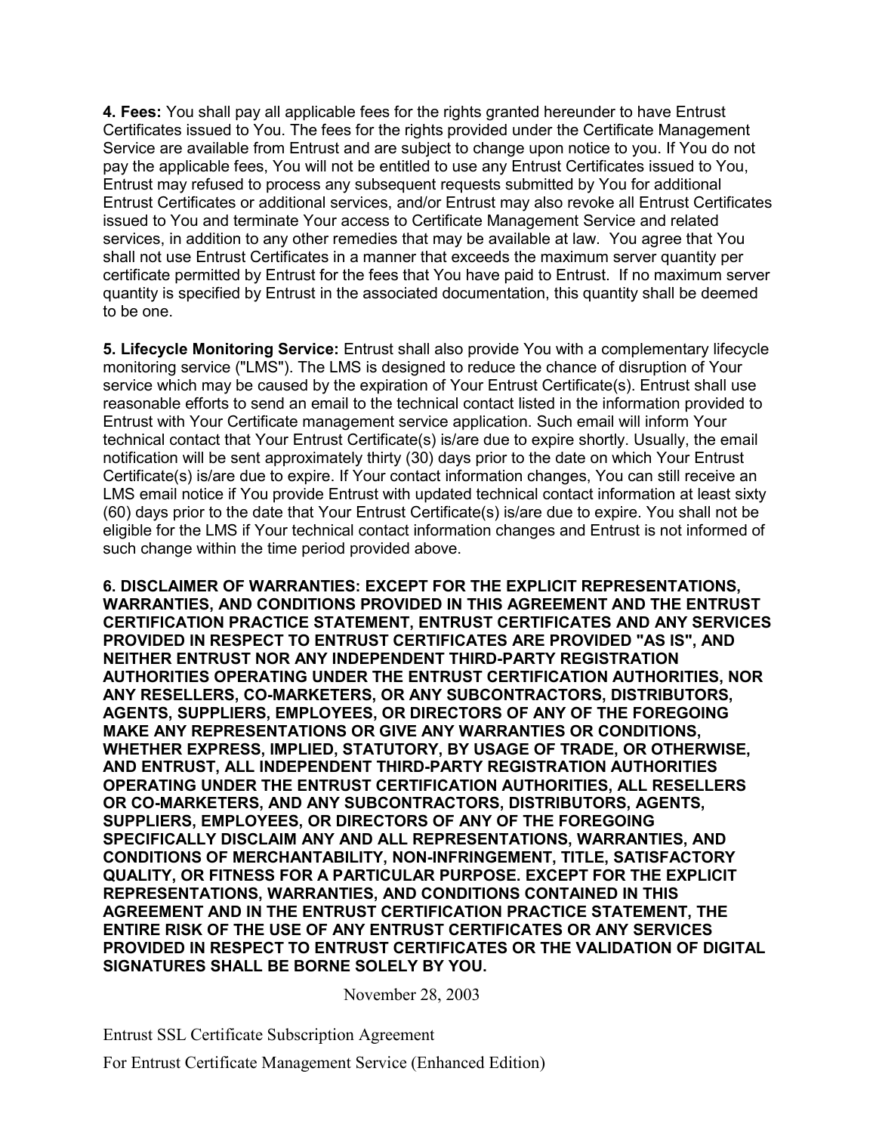**4. Fees:** You shall pay all applicable fees for the rights granted hereunder to have Entrust Certificates issued to You. The fees for the rights provided under the Certificate Management Service are available from Entrust and are subject to change upon notice to you. If You do not pay the applicable fees, You will not be entitled to use any Entrust Certificates issued to You, Entrust may refused to process any subsequent requests submitted by You for additional Entrust Certificates or additional services, and/or Entrust may also revoke all Entrust Certificates issued to You and terminate Your access to Certificate Management Service and related services, in addition to any other remedies that may be available at law. You agree that You shall not use Entrust Certificates in a manner that exceeds the maximum server quantity per certificate permitted by Entrust for the fees that You have paid to Entrust. If no maximum server quantity is specified by Entrust in the associated documentation, this quantity shall be deemed to be one.

**5. Lifecycle Monitoring Service:** Entrust shall also provide You with a complementary lifecycle monitoring service ("LMS"). The LMS is designed to reduce the chance of disruption of Your service which may be caused by the expiration of Your Entrust Certificate(s). Entrust shall use reasonable efforts to send an email to the technical contact listed in the information provided to Entrust with Your Certificate management service application. Such email will inform Your technical contact that Your Entrust Certificate(s) is/are due to expire shortly. Usually, the email notification will be sent approximately thirty (30) days prior to the date on which Your Entrust Certificate(s) is/are due to expire. If Your contact information changes, You can still receive an LMS email notice if You provide Entrust with updated technical contact information at least sixty (60) days prior to the date that Your Entrust Certificate(s) is/are due to expire. You shall not be eligible for the LMS if Your technical contact information changes and Entrust is not informed of such change within the time period provided above.

**6. DISCLAIMER OF WARRANTIES: EXCEPT FOR THE EXPLICIT REPRESENTATIONS, WARRANTIES, AND CONDITIONS PROVIDED IN THIS AGREEMENT AND THE ENTRUST CERTIFICATION PRACTICE STATEMENT, ENTRUST CERTIFICATES AND ANY SERVICES PROVIDED IN RESPECT TO ENTRUST CERTIFICATES ARE PROVIDED "AS IS", AND NEITHER ENTRUST NOR ANY INDEPENDENT THIRD-PARTY REGISTRATION AUTHORITIES OPERATING UNDER THE ENTRUST CERTIFICATION AUTHORITIES, NOR ANY RESELLERS, CO-MARKETERS, OR ANY SUBCONTRACTORS, DISTRIBUTORS, AGENTS, SUPPLIERS, EMPLOYEES, OR DIRECTORS OF ANY OF THE FOREGOING MAKE ANY REPRESENTATIONS OR GIVE ANY WARRANTIES OR CONDITIONS, WHETHER EXPRESS, IMPLIED, STATUTORY, BY USAGE OF TRADE, OR OTHERWISE, AND ENTRUST, ALL INDEPENDENT THIRD-PARTY REGISTRATION AUTHORITIES OPERATING UNDER THE ENTRUST CERTIFICATION AUTHORITIES, ALL RESELLERS OR CO-MARKETERS, AND ANY SUBCONTRACTORS, DISTRIBUTORS, AGENTS, SUPPLIERS, EMPLOYEES, OR DIRECTORS OF ANY OF THE FOREGOING SPECIFICALLY DISCLAIM ANY AND ALL REPRESENTATIONS, WARRANTIES, AND CONDITIONS OF MERCHANTABILITY, NON-INFRINGEMENT, TITLE, SATISFACTORY QUALITY, OR FITNESS FOR A PARTICULAR PURPOSE. EXCEPT FOR THE EXPLICIT REPRESENTATIONS, WARRANTIES, AND CONDITIONS CONTAINED IN THIS AGREEMENT AND IN THE ENTRUST CERTIFICATION PRACTICE STATEMENT, THE ENTIRE RISK OF THE USE OF ANY ENTRUST CERTIFICATES OR ANY SERVICES PROVIDED IN RESPECT TO ENTRUST CERTIFICATES OR THE VALIDATION OF DIGITAL SIGNATURES SHALL BE BORNE SOLELY BY YOU.** 

November 28, 2003

Entrust SSL Certificate Subscription Agreement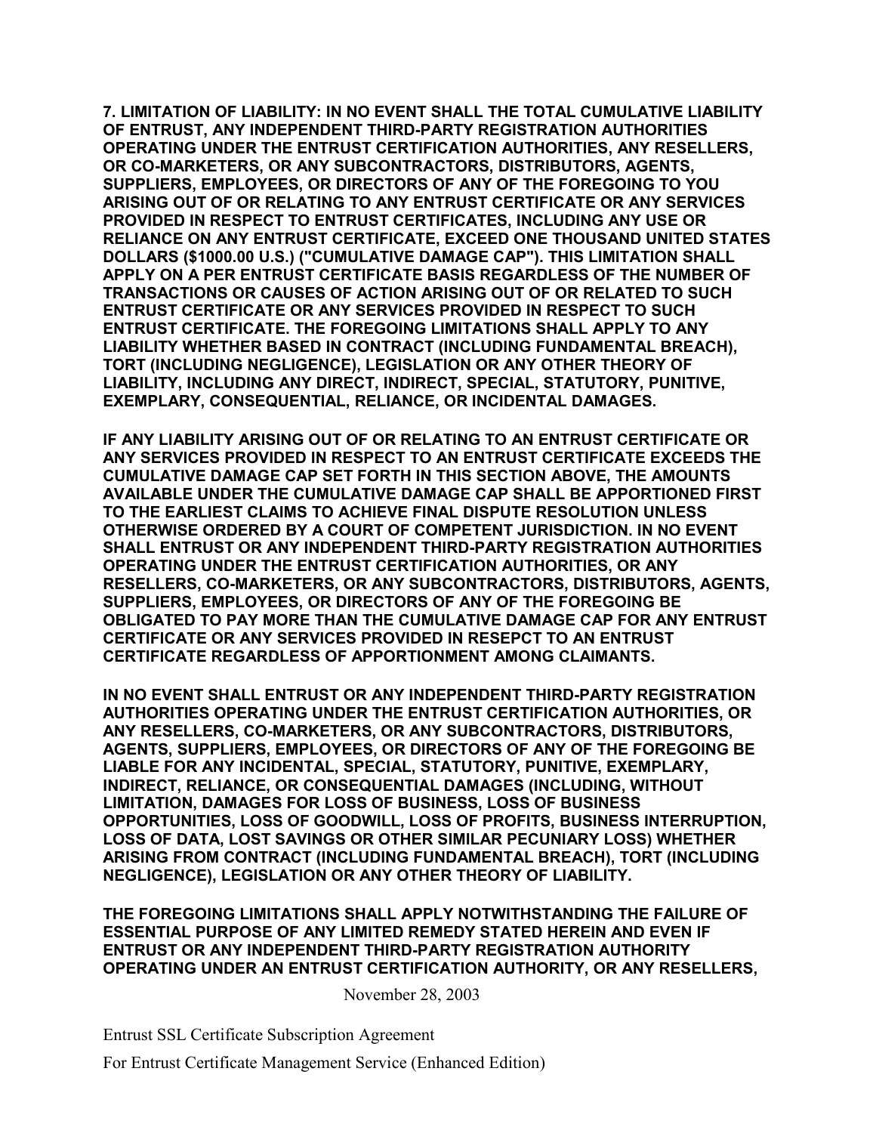**7. LIMITATION OF LIABILITY: IN NO EVENT SHALL THE TOTAL CUMULATIVE LIABILITY OF ENTRUST, ANY INDEPENDENT THIRD-PARTY REGISTRATION AUTHORITIES OPERATING UNDER THE ENTRUST CERTIFICATION AUTHORITIES, ANY RESELLERS, OR CO-MARKETERS, OR ANY SUBCONTRACTORS, DISTRIBUTORS, AGENTS, SUPPLIERS, EMPLOYEES, OR DIRECTORS OF ANY OF THE FOREGOING TO YOU ARISING OUT OF OR RELATING TO ANY ENTRUST CERTIFICATE OR ANY SERVICES PROVIDED IN RESPECT TO ENTRUST CERTIFICATES, INCLUDING ANY USE OR RELIANCE ON ANY ENTRUST CERTIFICATE, EXCEED ONE THOUSAND UNITED STATES DOLLARS (\$1000.00 U.S.) ("CUMULATIVE DAMAGE CAP"). THIS LIMITATION SHALL APPLY ON A PER ENTRUST CERTIFICATE BASIS REGARDLESS OF THE NUMBER OF TRANSACTIONS OR CAUSES OF ACTION ARISING OUT OF OR RELATED TO SUCH ENTRUST CERTIFICATE OR ANY SERVICES PROVIDED IN RESPECT TO SUCH ENTRUST CERTIFICATE. THE FOREGOING LIMITATIONS SHALL APPLY TO ANY LIABILITY WHETHER BASED IN CONTRACT (INCLUDING FUNDAMENTAL BREACH), TORT (INCLUDING NEGLIGENCE), LEGISLATION OR ANY OTHER THEORY OF LIABILITY, INCLUDING ANY DIRECT, INDIRECT, SPECIAL, STATUTORY, PUNITIVE, EXEMPLARY, CONSEQUENTIAL, RELIANCE, OR INCIDENTAL DAMAGES.** 

**IF ANY LIABILITY ARISING OUT OF OR RELATING TO AN ENTRUST CERTIFICATE OR ANY SERVICES PROVIDED IN RESPECT TO AN ENTRUST CERTIFICATE EXCEEDS THE CUMULATIVE DAMAGE CAP SET FORTH IN THIS SECTION ABOVE, THE AMOUNTS AVAILABLE UNDER THE CUMULATIVE DAMAGE CAP SHALL BE APPORTIONED FIRST TO THE EARLIEST CLAIMS TO ACHIEVE FINAL DISPUTE RESOLUTION UNLESS OTHERWISE ORDERED BY A COURT OF COMPETENT JURISDICTION. IN NO EVENT SHALL ENTRUST OR ANY INDEPENDENT THIRD-PARTY REGISTRATION AUTHORITIES OPERATING UNDER THE ENTRUST CERTIFICATION AUTHORITIES, OR ANY RESELLERS, CO-MARKETERS, OR ANY SUBCONTRACTORS, DISTRIBUTORS, AGENTS, SUPPLIERS, EMPLOYEES, OR DIRECTORS OF ANY OF THE FOREGOING BE OBLIGATED TO PAY MORE THAN THE CUMULATIVE DAMAGE CAP FOR ANY ENTRUST CERTIFICATE OR ANY SERVICES PROVIDED IN RESEPCT TO AN ENTRUST CERTIFICATE REGARDLESS OF APPORTIONMENT AMONG CLAIMANTS.** 

**IN NO EVENT SHALL ENTRUST OR ANY INDEPENDENT THIRD-PARTY REGISTRATION AUTHORITIES OPERATING UNDER THE ENTRUST CERTIFICATION AUTHORITIES, OR ANY RESELLERS, CO-MARKETERS, OR ANY SUBCONTRACTORS, DISTRIBUTORS, AGENTS, SUPPLIERS, EMPLOYEES, OR DIRECTORS OF ANY OF THE FOREGOING BE LIABLE FOR ANY INCIDENTAL, SPECIAL, STATUTORY, PUNITIVE, EXEMPLARY, INDIRECT, RELIANCE, OR CONSEQUENTIAL DAMAGES (INCLUDING, WITHOUT LIMITATION, DAMAGES FOR LOSS OF BUSINESS, LOSS OF BUSINESS OPPORTUNITIES, LOSS OF GOODWILL, LOSS OF PROFITS, BUSINESS INTERRUPTION, LOSS OF DATA, LOST SAVINGS OR OTHER SIMILAR PECUNIARY LOSS) WHETHER ARISING FROM CONTRACT (INCLUDING FUNDAMENTAL BREACH), TORT (INCLUDING NEGLIGENCE), LEGISLATION OR ANY OTHER THEORY OF LIABILITY.** 

**THE FOREGOING LIMITATIONS SHALL APPLY NOTWITHSTANDING THE FAILURE OF ESSENTIAL PURPOSE OF ANY LIMITED REMEDY STATED HEREIN AND EVEN IF ENTRUST OR ANY INDEPENDENT THIRD-PARTY REGISTRATION AUTHORITY OPERATING UNDER AN ENTRUST CERTIFICATION AUTHORITY, OR ANY RESELLERS,** 

November 28, 2003

Entrust SSL Certificate Subscription Agreement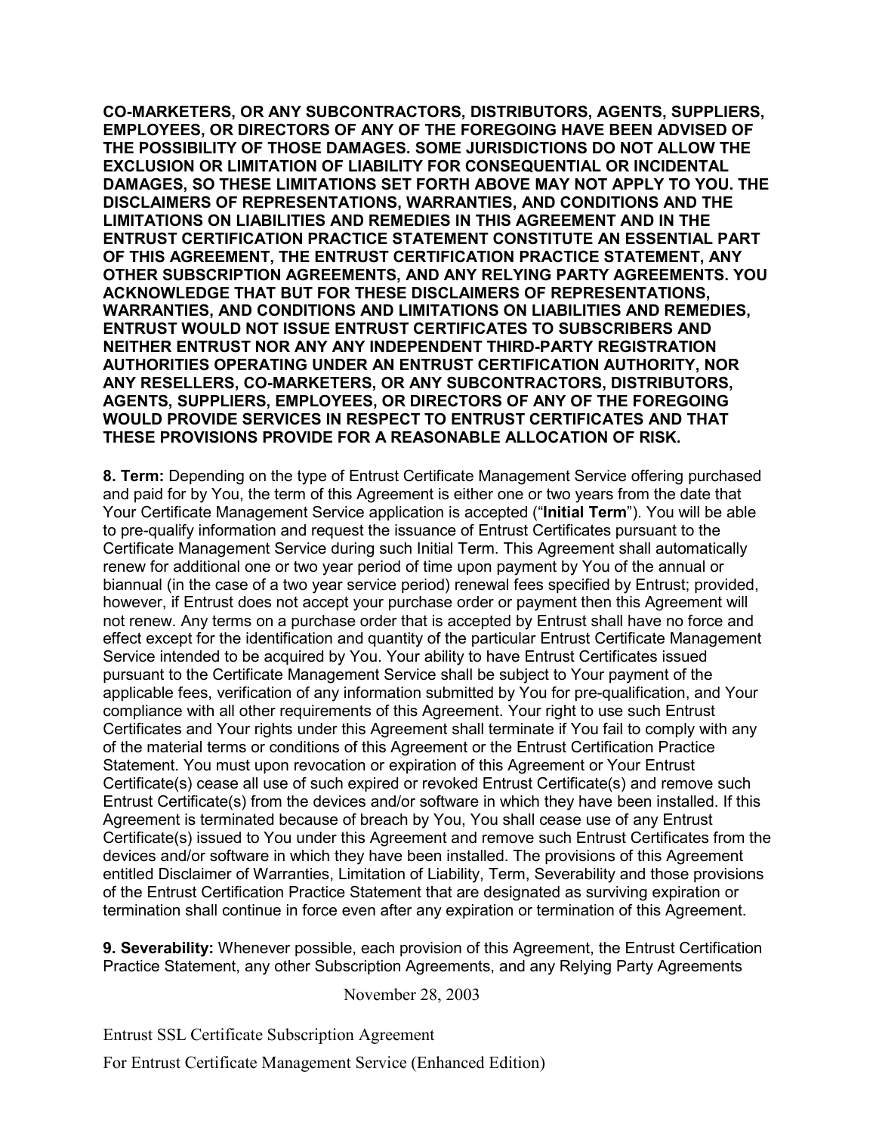**CO-MARKETERS, OR ANY SUBCONTRACTORS, DISTRIBUTORS, AGENTS, SUPPLIERS, EMPLOYEES, OR DIRECTORS OF ANY OF THE FOREGOING HAVE BEEN ADVISED OF THE POSSIBILITY OF THOSE DAMAGES. SOME JURISDICTIONS DO NOT ALLOW THE EXCLUSION OR LIMITATION OF LIABILITY FOR CONSEQUENTIAL OR INCIDENTAL DAMAGES, SO THESE LIMITATIONS SET FORTH ABOVE MAY NOT APPLY TO YOU. THE DISCLAIMERS OF REPRESENTATIONS, WARRANTIES, AND CONDITIONS AND THE LIMITATIONS ON LIABILITIES AND REMEDIES IN THIS AGREEMENT AND IN THE ENTRUST CERTIFICATION PRACTICE STATEMENT CONSTITUTE AN ESSENTIAL PART OF THIS AGREEMENT, THE ENTRUST CERTIFICATION PRACTICE STATEMENT, ANY OTHER SUBSCRIPTION AGREEMENTS, AND ANY RELYING PARTY AGREEMENTS. YOU ACKNOWLEDGE THAT BUT FOR THESE DISCLAIMERS OF REPRESENTATIONS, WARRANTIES, AND CONDITIONS AND LIMITATIONS ON LIABILITIES AND REMEDIES, ENTRUST WOULD NOT ISSUE ENTRUST CERTIFICATES TO SUBSCRIBERS AND NEITHER ENTRUST NOR ANY ANY INDEPENDENT THIRD-PARTY REGISTRATION AUTHORITIES OPERATING UNDER AN ENTRUST CERTIFICATION AUTHORITY, NOR ANY RESELLERS, CO-MARKETERS, OR ANY SUBCONTRACTORS, DISTRIBUTORS, AGENTS, SUPPLIERS, EMPLOYEES, OR DIRECTORS OF ANY OF THE FOREGOING WOULD PROVIDE SERVICES IN RESPECT TO ENTRUST CERTIFICATES AND THAT THESE PROVISIONS PROVIDE FOR A REASONABLE ALLOCATION OF RISK.**

**8. Term:** Depending on the type of Entrust Certificate Management Service offering purchased and paid for by You, the term of this Agreement is either one or two years from the date that Your Certificate Management Service application is accepted ("**Initial Term**"). You will be able to pre-qualify information and request the issuance of Entrust Certificates pursuant to the Certificate Management Service during such Initial Term. This Agreement shall automatically renew for additional one or two year period of time upon payment by You of the annual or biannual (in the case of a two year service period) renewal fees specified by Entrust; provided, however, if Entrust does not accept your purchase order or payment then this Agreement will not renew. Any terms on a purchase order that is accepted by Entrust shall have no force and effect except for the identification and quantity of the particular Entrust Certificate Management Service intended to be acquired by You. Your ability to have Entrust Certificates issued pursuant to the Certificate Management Service shall be subject to Your payment of the applicable fees, verification of any information submitted by You for pre-qualification, and Your compliance with all other requirements of this Agreement. Your right to use such Entrust Certificates and Your rights under this Agreement shall terminate if You fail to comply with any of the material terms or conditions of this Agreement or the Entrust Certification Practice Statement. You must upon revocation or expiration of this Agreement or Your Entrust Certificate(s) cease all use of such expired or revoked Entrust Certificate(s) and remove such Entrust Certificate(s) from the devices and/or software in which they have been installed. If this Agreement is terminated because of breach by You, You shall cease use of any Entrust Certificate(s) issued to You under this Agreement and remove such Entrust Certificates from the devices and/or software in which they have been installed. The provisions of this Agreement entitled Disclaimer of Warranties, Limitation of Liability, Term, Severability and those provisions of the Entrust Certification Practice Statement that are designated as surviving expiration or termination shall continue in force even after any expiration or termination of this Agreement.

**9. Severability:** Whenever possible, each provision of this Agreement, the Entrust Certification Practice Statement, any other Subscription Agreements, and any Relying Party Agreements

November 28, 2003

Entrust SSL Certificate Subscription Agreement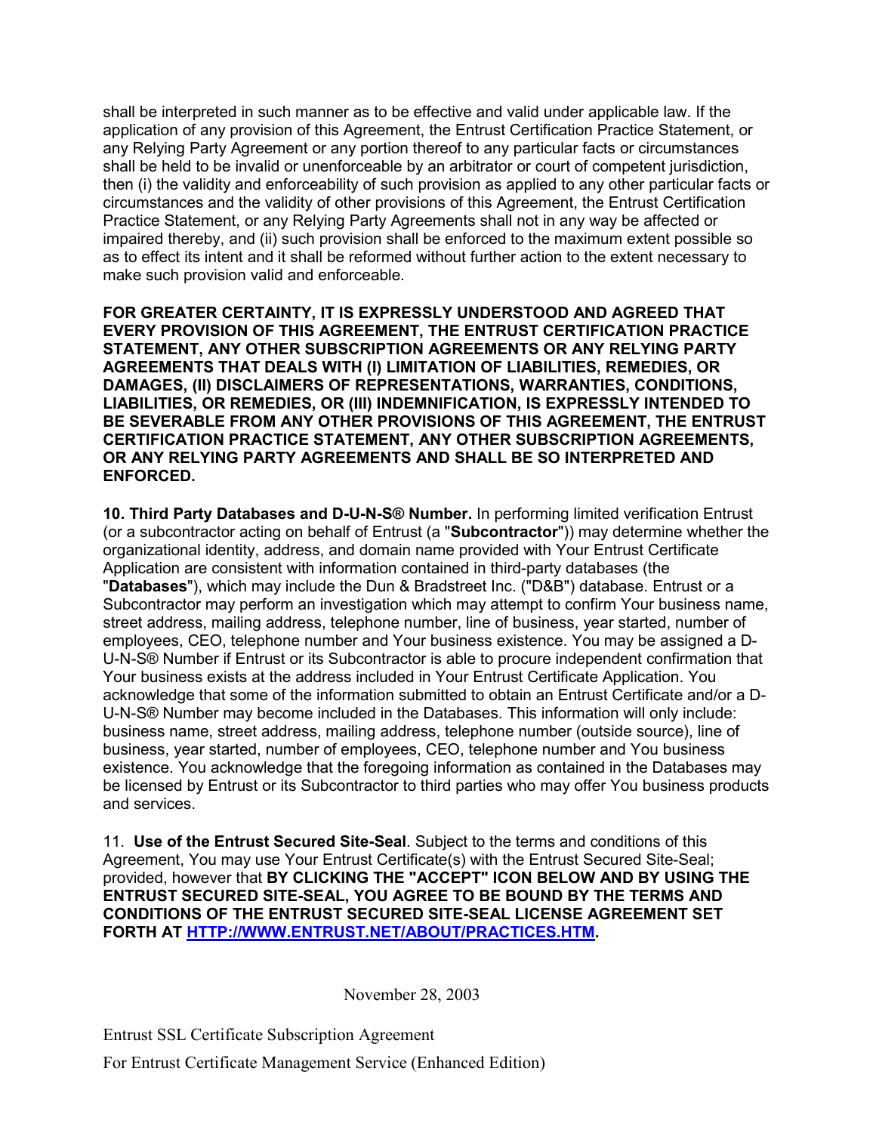shall be interpreted in such manner as to be effective and valid under applicable law. If the application of any provision of this Agreement, the Entrust Certification Practice Statement, or any Relying Party Agreement or any portion thereof to any particular facts or circumstances shall be held to be invalid or unenforceable by an arbitrator or court of competent jurisdiction, then (i) the validity and enforceability of such provision as applied to any other particular facts or circumstances and the validity of other provisions of this Agreement, the Entrust Certification Practice Statement, or any Relying Party Agreements shall not in any way be affected or impaired thereby, and (ii) such provision shall be enforced to the maximum extent possible so as to effect its intent and it shall be reformed without further action to the extent necessary to make such provision valid and enforceable.

**FOR GREATER CERTAINTY, IT IS EXPRESSLY UNDERSTOOD AND AGREED THAT EVERY PROVISION OF THIS AGREEMENT, THE ENTRUST CERTIFICATION PRACTICE STATEMENT, ANY OTHER SUBSCRIPTION AGREEMENTS OR ANY RELYING PARTY AGREEMENTS THAT DEALS WITH (I) LIMITATION OF LIABILITIES, REMEDIES, OR DAMAGES, (II) DISCLAIMERS OF REPRESENTATIONS, WARRANTIES, CONDITIONS, LIABILITIES, OR REMEDIES, OR (III) INDEMNIFICATION, IS EXPRESSLY INTENDED TO BE SEVERABLE FROM ANY OTHER PROVISIONS OF THIS AGREEMENT, THE ENTRUST CERTIFICATION PRACTICE STATEMENT, ANY OTHER SUBSCRIPTION AGREEMENTS, OR ANY RELYING PARTY AGREEMENTS AND SHALL BE SO INTERPRETED AND ENFORCED.**

**10. Third Party Databases and D-U-N-S® Number.** In performing limited verification Entrust (or a subcontractor acting on behalf of Entrust (a "**Subcontractor**")) may determine whether the organizational identity, address, and domain name provided with Your Entrust Certificate Application are consistent with information contained in third-party databases (the "**Databases**"), which may include the Dun & Bradstreet Inc. ("D&B") database. Entrust or a Subcontractor may perform an investigation which may attempt to confirm Your business name, street address, mailing address, telephone number, line of business, year started, number of employees, CEO, telephone number and Your business existence. You may be assigned a D-U-N-S® Number if Entrust or its Subcontractor is able to procure independent confirmation that Your business exists at the address included in Your Entrust Certificate Application. You acknowledge that some of the information submitted to obtain an Entrust Certificate and/or a D-U-N-S® Number may become included in the Databases. This information will only include: business name, street address, mailing address, telephone number (outside source), line of business, year started, number of employees, CEO, telephone number and You business existence. You acknowledge that the foregoing information as contained in the Databases may be licensed by Entrust or its Subcontractor to third parties who may offer You business products and services.

11. **Use of the Entrust Secured Site-Seal**. Subject to the terms and conditions of this Agreement, You may use Your Entrust Certificate(s) with the Entrust Secured Site-Seal; provided, however that **BY CLICKING THE "ACCEPT" ICON BELOW AND BY USING THE ENTRUST SECURED SITE-SEAL, YOU AGREE TO BE BOUND BY THE TERMS AND CONDITIONS OF THE ENTRUST SECURED SITE-SEAL LICENSE AGREEMENT SET FORTH AT [HTTP://WWW.ENTRUST.NET/ABOUT/PRACTICES.HTM.](http://www.entrust.net/ABOUT/PRACTICES.HTM)** 

November 28, 2003

Entrust SSL Certificate Subscription Agreement